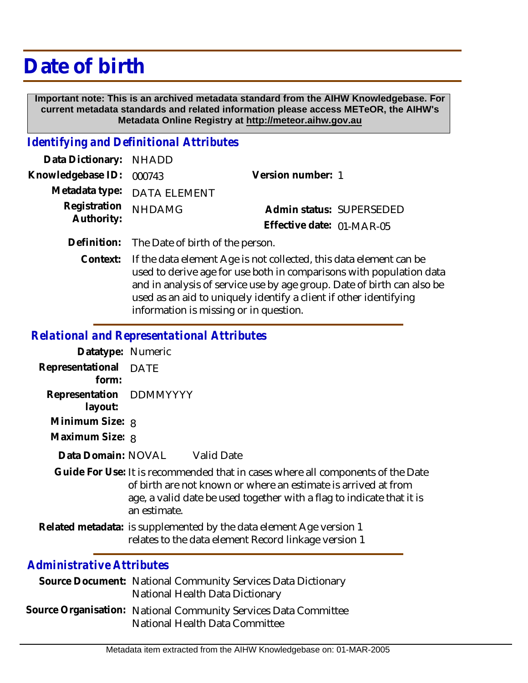# **Date of birth**

 **Important note: This is an archived metadata standard from the AIHW Knowledgebase. For current metadata standards and related information please access METeOR, the AIHW's Metadata Online Registry at http://meteor.aihw.gov.au**

#### *Identifying and Definitional Attributes*

| Data Dictionary: NHADD            |                             |                           |  |
|-----------------------------------|-----------------------------|---------------------------|--|
| Knowledgebase ID: 000743          |                             | Version number: 1         |  |
|                                   | Metadata type: DATA ELEMENT |                           |  |
| Registration NHDAMG<br>Authority: |                             | Admin status: SUPERSEDED  |  |
|                                   |                             | Effective date: 01-MAR-05 |  |
|                                   |                             |                           |  |

- **Definition:** The Date of birth of the person.
	- If the data element Age is not collected, this data element can be used to derive age for use both in comparisons with population data and in analysis of service use by age group. Date of birth can also be used as an aid to uniquely identify a client if other identifying information is missing or in question. **Context:**

### *Relational and Representational Attributes*

| Datatype: Numeric                          |                                                                                                                                                                                                                                                                                           |            |
|--------------------------------------------|-------------------------------------------------------------------------------------------------------------------------------------------------------------------------------------------------------------------------------------------------------------------------------------------|------------|
| Representational                           | <b>DATE</b>                                                                                                                                                                                                                                                                               |            |
| form:                                      |                                                                                                                                                                                                                                                                                           |            |
| Representation DDMMYYYY                    |                                                                                                                                                                                                                                                                                           |            |
| layout:                                    |                                                                                                                                                                                                                                                                                           |            |
| Minimum Size: 8                            |                                                                                                                                                                                                                                                                                           |            |
| Maximum Size: 8                            |                                                                                                                                                                                                                                                                                           |            |
| Data Domain: NOVAL                         |                                                                                                                                                                                                                                                                                           | Valid Date |
| Guide For Use: It is recommended that in c |                                                                                                                                                                                                                                                                                           |            |
|                                            | of birth are not known or w                                                                                                                                                                                                                                                               |            |
|                                            | $200.212$ and $\frac{1}{2}$ and $\frac{1}{2}$ and $\frac{1}{2}$ and $\frac{1}{2}$ and $\frac{1}{2}$ and $\frac{1}{2}$ and $\frac{1}{2}$ and $\frac{1}{2}$ and $\frac{1}{2}$ and $\frac{1}{2}$ and $\frac{1}{2}$ and $\frac{1}{2}$ and $\frac{1}{2}$ and $\frac{1}{2}$ and $\frac{1}{2}$ a |            |

- ases where all components of the Date vhere an estimate is arrived at from age, a valid date be used together with a flag to indicate that it is an estimate.
- Related metadata: is supplemented by the data element Age version 1 relates to the data element Record linkage version 1

## *Administrative Attributes*

- Source Document: National Community Services Data Dictionary National Health Data Dictionary
- Source Organisation: National Community Services Data Committee National Health Data Committee